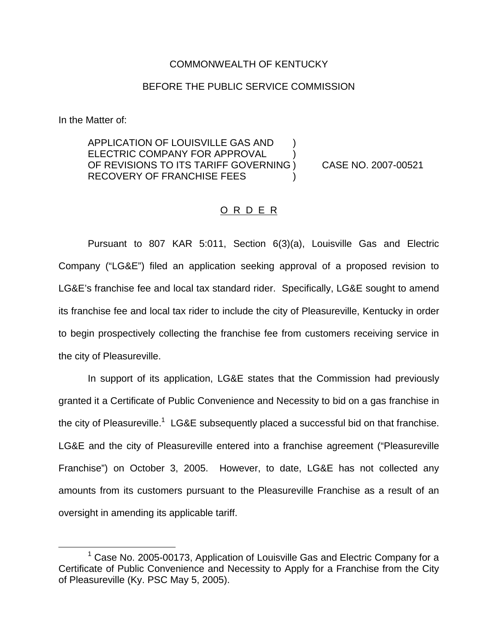## COMMONWEALTH OF KENTUCKY

## BEFORE THE PUBLIC SERVICE COMMISSION

In the Matter of:

APPLICATION OF LOUISVILLE GAS AND ) ELECTRIC COMPANY FOR APPROVAL OF REVISIONS TO ITS TARIFF GOVERNING ) CASE NO. 2007-00521 RECOVERY OF FRANCHISE FEES )

## O R D E R

Pursuant to 807 KAR 5:011, Section 6(3)(a), Louisville Gas and Electric Company ("LG&E") filed an application seeking approval of a proposed revision to LG&E's franchise fee and local tax standard rider. Specifically, LG&E sought to amend its franchise fee and local tax rider to include the city of Pleasureville, Kentucky in order to begin prospectively collecting the franchise fee from customers receiving service in the city of Pleasureville.

In support of its application, LG&E states that the Commission had previously granted it a Certificate of Public Convenience and Necessity to bid on a gas franchise in the city of Pleasureville.<sup>1</sup> LG&E subsequently placed a successful bid on that franchise. LG&E and the city of Pleasureville entered into a franchise agreement ("Pleasureville Franchise") on October 3, 2005. However, to date, LG&E has not collected any amounts from its customers pursuant to the Pleasureville Franchise as a result of an oversight in amending its applicable tariff.

 $1$  Case No. 2005-00173, Application of Louisville Gas and Electric Company for a Certificate of Public Convenience and Necessity to Apply for a Franchise from the City of Pleasureville (Ky. PSC May 5, 2005).